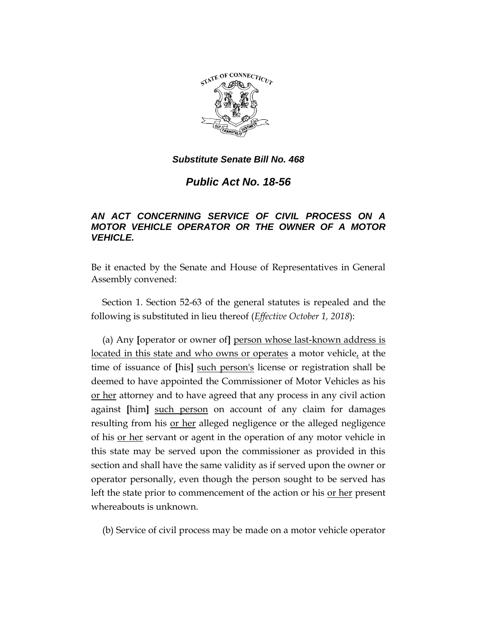

*Substitute Senate Bill No. 468*

*Public Act No. 18-56*

## *AN ACT CONCERNING SERVICE OF CIVIL PROCESS ON A MOTOR VEHICLE OPERATOR OR THE OWNER OF A MOTOR VEHICLE.*

Be it enacted by the Senate and House of Representatives in General Assembly convened:

Section 1. Section 52-63 of the general statutes is repealed and the following is substituted in lieu thereof (*Effective October 1, 2018*):

(a) Any **[**operator or owner of**]** person whose last-known address is located in this state and who owns or operates a motor vehicle, at the time of issuance of **[**his**]** such person's license or registration shall be deemed to have appointed the Commissioner of Motor Vehicles as his or her attorney and to have agreed that any process in any civil action against **[**him**]** such person on account of any claim for damages resulting from his or her alleged negligence or the alleged negligence of his or her servant or agent in the operation of any motor vehicle in this state may be served upon the commissioner as provided in this section and shall have the same validity as if served upon the owner or operator personally, even though the person sought to be served has left the state prior to commencement of the action or his or her present whereabouts is unknown.

(b) Service of civil process may be made on a motor vehicle operator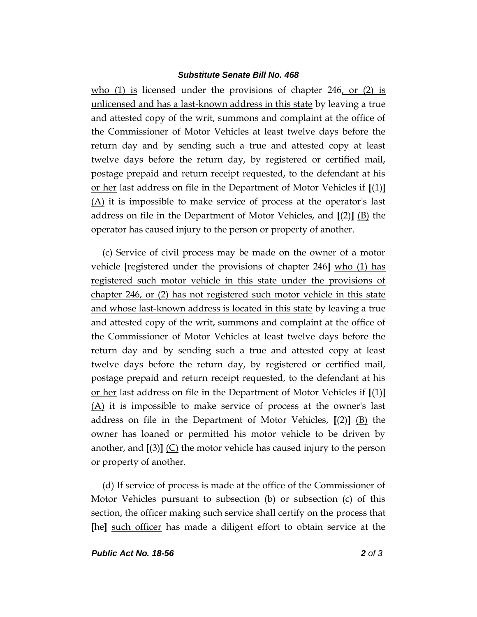## *Substitute Senate Bill No. 468*

who  $(1)$  is licensed under the provisions of chapter 246, or  $(2)$  is unlicensed and has a last-known address in this state by leaving a true and attested copy of the writ, summons and complaint at the office of the Commissioner of Motor Vehicles at least twelve days before the return day and by sending such a true and attested copy at least twelve days before the return day, by registered or certified mail, postage prepaid and return receipt requested, to the defendant at his or her last address on file in the Department of Motor Vehicles if **[**(1)**]**  $(A)$  it is impossible to make service of process at the operator's last address on file in the Department of Motor Vehicles, and **[**(2)**]** (B) the operator has caused injury to the person or property of another.

(c) Service of civil process may be made on the owner of a motor vehicle **[**registered under the provisions of chapter 246**]** who (1) has registered such motor vehicle in this state under the provisions of chapter 246, or (2) has not registered such motor vehicle in this state and whose last-known address is located in this state by leaving a true and attested copy of the writ, summons and complaint at the office of the Commissioner of Motor Vehicles at least twelve days before the return day and by sending such a true and attested copy at least twelve days before the return day, by registered or certified mail, postage prepaid and return receipt requested, to the defendant at his or her last address on file in the Department of Motor Vehicles if **[**(1)**]** (A) it is impossible to make service of process at the owner's last address on file in the Department of Motor Vehicles, **[**(2)**]** (B) the owner has loaned or permitted his motor vehicle to be driven by another, and  $[(3)]$  (C) the motor vehicle has caused injury to the person or property of another.

(d) If service of process is made at the office of the Commissioner of Motor Vehicles pursuant to subsection (b) or subsection (c) of this section, the officer making such service shall certify on the process that **[**he**]** such officer has made a diligent effort to obtain service at the